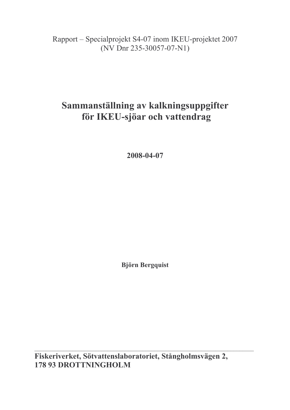## Rapport – Specialprojekt S4-07 inom IKEU-projektet 2007  $(NV)$  Dnr 235-30057-07-N1)

# Sammanställning av kalkningsuppgifter för IKEU-sjöar och vattendrag

2008-04-07

**Björn Bergquist** 

Fiskeriverket, Sötvattenslaboratoriet, Stångholmsvägen 2, **178 93 DROTTNINGHOLM**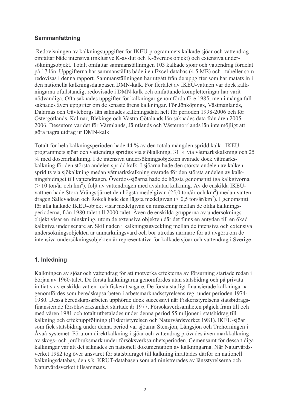#### **Sammanfattning**

Redovisningen av kalkningsuppgifter för IKEU-programmets kalkade sjöar och vattendrag omfattar både intensiva (inklusive K-avslut och K-överdos objekt) och extensiva undersökningsobjekt. Totalt omfattar sammanställningen 103 kalkade sjöar och vattendrag fördelat på 17 län. Uppgifterna har sammanställts både i en Excel-databas (4,5 MB) och i tabeller som redovisas i denna rapport. Sammanställningen har utgått från de uppgifter som har matats in i den nationella kalkningsdatabasen DMN-kalk. För flertalet av IKEU-vattnen var dock kalkningarna ofullständigt redovisade i DMN-kalk och omfattande kompletteringar har varit nödvändiga. Ofta saknades uppgifter för kalkningar genomförda före 1985, men i många fall saknades även uppgifter om de senaste årens kalkningar. För Jönköpings, Västmanlands, Dalarnas och Gävleborgs län saknades kalkningsdata helt för perioden 1998-2006 och för Östergötlands, Kalmar, Blekinge och Västra Götalands län saknades data från åren 2005-2006. Dessutom var det för Värmlands, Jämtlands och Västernorrlands län inte möjligt att göra några utdrag ur DMN-kalk.

Totalt för hela kalkningsperioden hade 44 % av den totala mängden spridd kalk i IKEUprogrammets sjöar och vattendrag spridits via sjökalkning, 31 % via våtmarkskalkning och 25 % med doserarkalkning. I de intensiva undersökningsobjekten svarade dock våtmarkskalkning för den största andelen spridd kalk. I sjöarna hade den största andelen av kalken spridits via sjökalkning medan våtmarkskalkning svarade för den största andelen av kalkningsbidraget till vattendragen. Överdos-siöarna hade de högsta genomsnittliga kalkgivorna  $($  > 10 ton/ $\alpha$  och km<sup>2</sup>), följt av vattendragen med avslutad kalkning. Av de enskilda IKEUvattnen hade Stora Vrångstjärnet den högsta medelgivan  $(25.0 \text{ ton/år och km}^2)$  medan vattendragen Sällevadsån och Rökeå hade den lägsta medelgivan  $(< 0.5$  ton/år/km<sup>2</sup>). I genomsnitt för alla kalkade IKEU-objekt visar medelgivan en minskning mellan de olika kalkningsperioderna, från 1980-talet till 2000-talet. Även de enskilda grupperna av undersökningsobjekt visar en minskning, utom de extensiva objekten där det finns en antydan till en ökad kalkgiva under senare år. Skillnaden i kalkningsutveckling mellan de intensiva och extensiva undersökningsobjekten är anmärkningsvärd och bör utredas närmare för att avgöra om de intensiva undersökningsobjekten är representativa för kalkade sjöar och vattendrag i Sverige

### 1. Inledning

Kalkningen av sjöar och vattendrag för att motverka effekterna av försurning startade redan i början av 1960-talet. De första kalkningarna genomfördes utan statsbidrag och på privata initiativ av enskilda vatten- och fiskerättsägare. De första statligt finansierade kalkningarna genomfördes som beredskapsarbeten i arbetsmarknadsstyrelsens regi under perioden 1974-1980. Dessa beredskapsarbeten upphörde dock successivt när Fiskeristyrelsens statsbidragsfinansierade försöksverksamhet startade år 1977. Försöksverksamheten pågick fram till och med våren 1981 och totalt utbetalades under denna period 55 miljoner i statsbidrag till kalkning och effektuppföljning (Fiskeristyrelsen och Naturvårdsverket 1981). IKEU-sjöar som fick statsbidrag under denna period var sjöarna Stensjön, Långsjön och Trehörningen i Åvaå-systemet. Förutom direktkalkning i sjöar och vattendrag prövades även markkalkning av skogs- och jordbruksmark under försöksverksamhetsperioden. Gemensamt för dessa tidiga kalkningar var att det saknades en nationell dokumentation av kalkningarna. När Naturvårdsverket 1982 tog över ansvaret för statsbidraget till kalkning inrättades därför en nationell kalkningsdatabas, den s.k. KRUT-databasen som administrerades av länsstyrelserna och Naturvårdsverket tillsammans.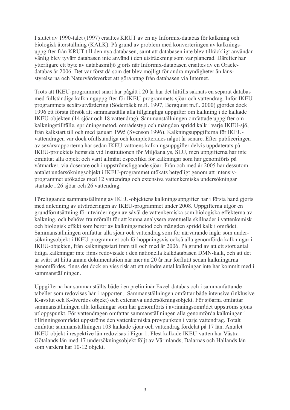I slutet av 1990-talet (1997) ersattes KRUT av en ny Informix-databas för kalkning och biologisk återställning (KALK). På grund av problem med konverteringen av kalkningsuppgifter från KRUT till den nya databasen, samt att databasen inte blev tillräckligt användarvänlig blev tyvärr databasen inte använd i den utsträckning som var planerad. Därefter har vtterligare ett byte av databasmiljö gjorts när Informix-databasen ersattes av en Oracledatabas år 2006. Det var först då som det blev möjligt för andra myndigheter än länsstyrelserna och Naturvårdsverket att göra uttag från databasen via Internet.

Trots att IKEU-programmet snart har pågått i 20 år har det hittills saknats en separat databas med fullständiga kalkninguppgifter för IKEU-programmets sjöar och vattendrag. Inför IKEUprogrammets sexårsutvärdering (Söderbäck m.fl. 1997, Bergquist m.fl. 2000) gjordes dock 1996 ett första försök att sammanställa alla tillgängliga uppgifter om kalkning i de kalkade IKEU-objekten (14 sjöar och 18 vattendrag). Sammanställningen omfattade uppgifter om kalkningstillfälle, spridningsmetod, områdestyp och mängden spridd kalk i varje IKEU-sjö, från kalkstart till och med januari 1995 (Svenson 1996). Kalkningsuppgifterna för IKEUvattendragen var dock of ullständiga och kompletterades något år senare. Efter publiceringen av sexårsrapporterna har sedan IKEU-vattnens kalkningsuppgifter delvis uppdaterats på IKEU-projektets hemsida vid Institutionen för Miljöanalys, SLU, men uppgifterna har inte omfattat alla objekt och varit allmänt ospecifika för kalkningar som har genomförts på våtmarker, via doserare och i uppströmsliggande sjöar. Från och med år 2005 har dessutom antalet undersökningsobjekt i IKEU-programmet utökats betydligt genom att intensivprogrammet utökades med 12 vattendrag och extensiva vattenkemiska undersökningar startade i 26 sjöar och 26 vattendrag.

Föreliggande sammanställning av IKEU-objektens kalkningsuppgifter har i första hand gjorts med anledning av utvärderingen av IKEU-programmet under 2008. Uppgifterna utgör en grundförutsättning för utvärderingen av såväl de vattenkemiska som biologiska effekterna av kalkning, och behövs framförallt för att kunna analysera eventuella skillnader i vattenkemisk och biologisk effekt som beror av kalkningsmetod och mängden spridd kalk i området. Sammanställningen omfattar alla sjöar och vattendrag som för närvarande ingår som undersökningsobjekt i IKEU-programmet och förhoppningsvis också alla genomförda kalkningar i IKEU-objekten, från kalkningsstart fram till och med år 2006. På grund av att ett stort antal tidiga kalkningar inte finns redovisade i den nationella kalkdatabasen DMN-kalk, och att det är svårt att hitta annan dokumentation när mer än 20 år har förflutit sedan kalkningarna genomfördes, finns det dock en viss risk att ett mindre antal kalkningar inte har kommit med i sammanställningen.

Uppgifterna har sammanställts både i en preliminär Excel-databas och i sammanfattande tabeller som redovisas här i rapporten. Sammanställningen omfattar både intensiva (inklusive K-avslut och K-överdos objekt) och extensiva undersökningsobjekt. För sjöarna omfattar sammanställningen alla kalkningar som har genomförts i avrinningsområdet uppströms sjöns utloppspunkt. För vattendragen omfattar sammanställningen alla genomförda kalkningar i tillrinningsområdet uppströms den vattenkemiska provpunkten i varje vattendrag. Totalt omfattar sammanställningen 103 kalkade sjöar och vattendrag fördelat på 17 län. Antalet IKEU-objekt i respektive län redovisas i Figur 1. Flest kalkade IKEU-vatten har Västra Götalands län med 17 undersökningsobjekt följt av Värmlands, Dalarnas och Hallands län som vardera har 10-12 objekt.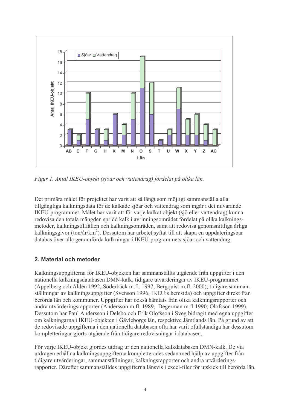

Figur 1. Antal IKEU-objekt (sjöar och vattendrag) fördelat på olika län.

Det primära målet för projektet har varit att så långt som möjligt sammanställa alla tillgängliga kalkningsdata för de kalkade sjöar och vattendrag som ingår i det nuvarande IKEU-programmet. Målet har varit att för varje kalkat objekt (sjö eller vattendrag) kunna redovisa den totala mängden spridd kalk i avrinningsområdet fördelat på olika kalkningsmetoder, kalkningstillfällen och kalkningsområden, samt att redovisa genomsnittliga årliga kalkningsgivor (ton/ $\frac{\alpha r}{km^2}$ ). Dessutom har arbetet syftat till att skapa en uppdateringsbar databas över alla genomförda kalkningar i IKEU-programmets sjöar och vattendrag.

### 2. Material och metoder

Kalkningsuppgifterna för IKEU-objekten har sammanställts utgående från uppgifter i den nationella kalkningsdatabasen DMN-kalk, tidigare utvärderingar av IKEU-programmet (Appelberg och Aldén 1992, Söderbäck m.fl. 1997, Bergquist m.fl. 2000), tidigare sammanställningar av kalkningsuppgifter (Svenson 1996, IKEU:s hemsida) och uppgifter direkt från berörda län och kommuner. Uppgifter har också hämtats från olika kalkningsrapporter och andra utvärderingsrapporter (Andersson m.fl. 1989, Degerman m.fl 1990, Olofsson 1999). Dessutom har Paul Andersson i Delsbo och Erik Olofsson i Sveg bidragit med egna uppgifter om kalkningarna i IKEU-objekten i Gävleborgs län, respektive Jämtlands län. På grund av att de redovisade uppgifterna i den nationella databasen ofta har varit of ullständiga har dessutom kompletteringar gjorts utgående från tidigare redovisningar i databasen.

För varje IKEU-objekt gjordes utdrag ur den nationella kalkdatabasen DMN-kalk. De via utdragen erhållna kalkningsuppgifterna kompletterades sedan med hjälp av uppgifter från tidigare utvärderingar, sammanställningar, kalkningsrapporter och andra utvärderingsrapporter. Därefter sammanställdes uppgifterna länsvis i excel-filer för utskick till berörda län.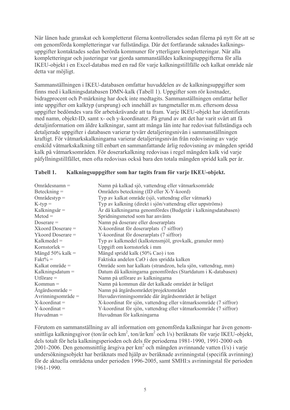När länen hade granskat och kompletterat filerna kontrollerades sedan filerna på nytt för att se om genomförda kompletteringar var fullständiga. Där det fortfarande saknades kalkningsuppgifter kontaktades sedan berörda kommuner för ytterligare kompletteringar. När alla kompletteringar och justeringar var gjorda sammanställdes kalkningsuppgifterna för alla IKEU-objekt i en Excel-databas med en rad för varje kalkningstillfälle och kalkat område när detta var möjligt.

Sammanställningen i IKEU-databasen omfattar huvuddelen av de kalkningsuppgifter som finns med i kalkningsdatabasen DMN-kalk (Tabell 1). Uppgifter som rör kostnader, bidragprocent och P-märkning har dock inte medtagits. Sammanställningen omfattar heller inte uppgifter om kalktyp (ursprung) och innehåll av tungmetaller m.m. eftersom dessa uppgifter bedömdes vara för arbetskrävande att ta fram. Varje IKEU-objekt har identifierats med namn, objekt-ID, samt x- och y-koordinater. På grund av att det har varit svårt att få detaljinformation om äldre kalkningar, samt att många län inte har redovisat fullständiga och detaljerade uppgifter i databasen varierar tyvärr detaljeringsnivån i sammanställningen kraftigt. För våtmarkskalkningarna varierar detaljeringsnivån från redovisning av varie enskild våtmarkskalkning till enbart en sammanfattande årlig redovisning av mängden spridd kalk på våtmarksområden. För doserarkalkning redovisas i regel mängden kalk vid varie påfyllningstillfället, men ofta redovisas också bara den totala mängden spridd kalk per år.

| $Omr\mathring{a}desnamn =$ | Namn på kalkad sjö, vattendrag eller våtmarksområde               |
|----------------------------|-------------------------------------------------------------------|
| $Beteckning =$             | Områdets beteckning (ID eller X-Y-koord)                          |
| $Omr\{adestyp =$           | Typ av kalkat område (sjö, vattendrag eller våtmark)              |
| $K$ -typ $=$               | Typ av kalkning (direkt i sjön/vattendrag eller uppströms)        |
| Kalkningsår =              | År då kalkningarna genomfördes (Budgetår i kalkningsdatabasen)    |
| $Metod =$                  | Spridningsmetod som har använts                                   |
| Doserare $=$               | Namn på doserare eller doserarplats                               |
| Xkoord Doserare =          | X-koordinat för doserarplats (7 siffror)                          |
| $Ykood$ Doserare $=$       | Y-koordinat för doserarplats (7 siffror)                          |
| $Kalkmedel =$              | Typ av kalkmedel (kalkstensmjöl, grovkalk, granuler mm)           |
| Kornstorlek $=$            | Uppgift om kornstorlek i mm                                       |
| Mängd $50\%$ kalk =        | Mängd spridd kalk (50% Cao) i ton                                 |
| $Fakt\% =$                 | Faktiska andelen CaO i den spridda kalken                         |
| Kalkat område =            | Område som har kalkats (strandzon, hela sjön, vattendrag, mm)     |
| Kalkningsdatum $=$         | Datum då kalkningarna genomfördes (Startdatum i K-databasen)      |
| Utförare $=$               | Namn på utförare av kalkningarna                                  |
| $Kommun =$                 | Namn på kommun där det kalkade området är beläget                 |
| $A$ tgärdsområde =         | Namn på åtgärdsområdet/projektområdet                             |
| Avrinningsområde =         | Huvudavrinningsområde där åtgärdsområdet är beläget               |
| $X$ -koordinat =           | X-koordinat för sjön, vattendrag eller våtmarksområde (7 siffror) |
| $Y$ -koordinat =           | Y-koordinat för sjön, vattendrag eller våtmarksområde (7 siffror) |
| $Huvudman =$               | Huvudman för kalkningarna                                         |

#### Tabell 1. Kalkningsuppgifter som har tagits fram för varje IKEU-objekt.

Förutom en sammanställning av all information om genomförda kalkningar har även genomsnittliga kalkningsgivor (ton/år och km<sup>2</sup>, ton/år/km<sup>2</sup> och l/s) beräknats för varje IKEU-objekt, dels totalt för hela kalkningsperioden och dels för perioderna 1981-1990, 1991-2000 och 2001-2006. Den genomsnittlig årsgiva per  $km^2$  och mängden avrinnande vatten (l/s) i varje undersökningsobjekt har beräknats med hjälp av beräknade avrinningstal (specifik avrinning) för de aktuella områdena under perioden 1996-2005, samt SMHI:s avrinningstal för perioden 1961-1990.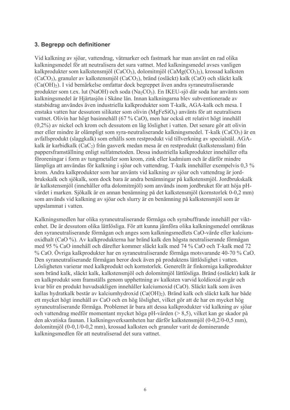#### 3. Begrepp och definitioner

Vid kalkning av sjöar, vattendrag, våtmarker och fastmark har man använt en rad olika kalkningsmedel för att neutralisera det sura vattnet. Med kalkningsmedel avses vanligen kalkprodukter som kalkstensmjöl (CaCO<sub>3</sub>), dolomitmjöl (CaMg(CO<sub>3</sub>)<sub>2</sub>), krossad kalksten (CaCO<sub>3</sub>), granuler av kalkstensmjöl (CaCO<sub>3</sub>), bränd (osläckt) kalk (CaO) och släckt kalk (Ca(OH)<sub>2</sub>). I vid bemärkelse omfattar dock begreppet även andra syraneutraliserande produkter som t.ex. lut (NaOH) och soda (Na<sub>2</sub>CO<sub>3</sub>). En IKEU-sjö där soda har använts som kalkningsmedel är Hjärtasjön i Skåne län. Innan kalkningarna blev subventionerade av statsbidrag användes även industriella kalkprodukter som T-kalk. AGA-kalk och mesa. I enstaka vatten har dessutom silikater som olivin (MgFeSiO<sub>4</sub>) använts för att neutralisera vattnet. Olivin har högt basinnehåll (67 % CaO), men har också ett relativt högt innehåll  $(0,2\%)$  av nickel och krom och dessutom en låg löslighet i vatten. Det senare gör att olivin mer eller mindre är olämpligt som svra-neutraliserande kalkningsmedel. T-kalk (CaCO<sub>3</sub>) är en avfallsprodukt (slaggkalk) som erhålls som restprodukt vid tillverkning av specialstål. AGAkalk är karbidkalk (CaC<sub>2</sub>) från gasverk medan mesa är en restprodukt (kalkstensslam) från pappersframställning enligt sulfatmetoden. Dessa industriella kalkprodukter innehåller ofta föroreningar i form av tungmetaller som krom, zink eller kadmium och är därför mindre lämpliga att användas för kalkning i sjöar och vattendrag. T-kalk innehåller exempelvis 0.3 % krom. Andra kalkprodukter som har använts vid kalkning av sjöar och vattendrag är jordbrukskalk och sjökalk, som dock bara är andra benämningar på kalkstensmiöl. Jordbrukskalk är kalkstensmiöl (innehåller ofta dolomitmiöl) som används inom jordbruket för att höja pHvärdet i marken. Sjökalk är en annan benämning på det kalkstensmjöl (kornstorlek 0-0,2 mm) som används vid kalkning av sjöar och slurry är en benämning på kalkstensmiöl som är uppslammat i vatten.

Kalkningsmedlen har olika syraneutraliserande förmåga och syrabuffrande innehåll per viktenhet. De är dessutom olika lättlösliga. För att kunna jämföra olika kalkningsmedel omräknas den syraneutraliserande förmågan och anges som kalkningsmedlets CaO-värde eller kalciumoxidhalt (CaO %). Av kalkprodukterna har bränd kalk den högsta neutraliserande förmågan med 95 % CaO innehåll och därefter kommer släckt kalk med 74 % CaO och T-kalk med 72 % CaO. Övriga kalkprodukter har en syraneutraliserande förmåga motsvarande 40-70 % CaO. Den syraneutraliserande förmågan beror dock även på produktens lättlöslighet i vatten. Lösligheten varierar med kalkprodukt och kornstorlek. Generellt är finkorniga kalkprodukter som bränd kalk, släckt kalk, kalkstensmjöl och dolomitmjöl lättlösliga. Bränd (osläckt) kalk är en kalkprodukt som framställs genom upphettning av kalksten varvid koldioxid avgår och kvar blir en produkt huvudsakligen innehåller kalciumoxid (CaO). Släckt kalk som även kallas hydratkalk består av kalciumhydroxid (Ca(OH)<sub>2</sub>). Bränd kalk och släckt kalk har både ett mycket högt innehåll av CaO och en hög löslighet, vilket gör att de har en mycket hög svraneutraliserande förmåga. Problemet är bara att dessa kalkprodukter vid kalkning av sjöar och vattendrag medför momentant mycket höga pH-värden ( $> 8.5$ ), vilket kan ge skador på den akvatiska faunan. I kalkningsverksamheten har därför kalkstensmjöl (0-0,2/0-0,5 mm), dolomitmjöl (0-0,1/0-0,2 mm), krossad kalksten och granuler varit de dominerande kalkningsmedlen för att neutraliserad det sura vattnet.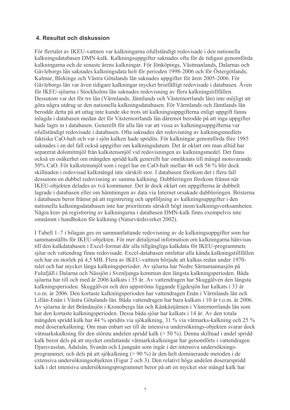#### 4. Resultat och diskussion

För flertalet av IKEU-vattnen var kalkningarna ofullständigt redovisade i den nationella kalkningsdatabasen DMN-kalk. Kalkningsuppgifter saknades ofta för de tidigast genomförda kalkningarna och de senaste årens kalkningar. För Jönköpings, Västmanlands, Dalarnas och Gävleborgs län saknades kalkningsdata helt för perioden 1998-2006 och för Östergötlands, Kalmar, Blekinge och Västra Götalands län saknades uppgifter för åren 2005-2006. För Gävleborgs län var även tidigare kalkningar mycket bristfälligt redovisade i databasen. Även för IKEU-sjöarna i Stockholms län saknades redovisning av flera kalkningstillfällen. Dessutom var det för tre län (Värmlands, Jämtlands och Västernorrlands län) inte möjligt att göra några utdrag ur den nationella kalkningsdatabasen. För Värmlands och Jämtlands län berodde detta på att uttag inte kunde ske trots att kalkningsuppgifterna enligt uppgift fanns inlagda i databasen medan det för Västernorrlands län däremot berodde på att inga uppgifter hade lagts in i databasen. Generellt för alla län var att vissa av kalkningsuppgifterna var ofullständigt redovisade i databasen. Ofta saknades det redovisning av kalkningsmedlets faktiska CaO-halt och var i sjön kalken hade spridits. För kalkningar genomförda före 1985 saknades i en del fall också uppgifter om kalkningsdatum. Det är oklart om man alltid har separerat dolomitmiöl från kalkstensmiöl vid redovisningen av kalkningsmedel. Det finns också en osäkerhet om mängden spridd kalk generellt har omräknats till mängd motsvarande 50% CaO. För kalkstensmiöl som i regel har en CaO-halt mellan 46 och 56 % blir dock skillnaden i redovisad kalkmängd inte särskilt stor. I databasen förekom det i flera fall dessutom en dubbel redovisning av samma kalkning. Dubbleringen förekom främst när IKEU-objekten delades av två kommuner. Det är dock oklart om uppgifterna är dubbelt lagrade i databasen eller om hämtningen av data via Internet orsakade dubbleringen. Bristerna i databasen beror främst på att registrering och uppföljning av kalkningsuppgifter i den nationella kalkningsdatabasen inte har prioriterats särskilt högt inom kalkningsverksamheten. Några krav på registrering av kalkningarna i databasen DMN-kalk finns exempelvis inte omnämnt i handboken för kalkning (Naturvårdsverket 2002).

I Tabell 1–7 i bilagan ges en sammanfattande redovisning av de kalkningsuppgifter som har sammanställts för IKEU-objekten. För mer detaljerad information om kalkningarna hänvisas till den kalkdatabasen i Excel-format där alla tillgängliga kalkdata för IKEU-programmets sjöar och vattendrag finns redovisade. Excel-databasen omfattar alla kända kalkningstillfällen och har en storlek på 4,5 MB. Flera av IKEU-vattnen började att kalkas redan under 1970talet och har mycket långa kalkningsperioder. Av sjöarna har Nedre Särnamannasjön på Fulufjäll i Dalarna och Nässjön i Svenljunga kommun den längsta kalkningsperioden. Båda sjöarna har till och med år 2006 kalkats i 35 år. Av vattendragen har Skuggälven den längsta kalkningsperioden. Skuggälven och den uppströms liggande Ejgdesjön har kalkats i 33 år t.o.m. år 2006. Den kortaste kalkningsperioden har vattendragen Enån i Värmlands län och Lillån-Enån i Västra Götalands län. Båda vattendragen har bara kalkats i 10 år t.o.m. år 2006. Av sjöarna är det Brändasjön i Kronobergs län och Kånkåstjärnen i Västernorrlands län som har den kortaste kalkningsperioden. Dessa båda sjöar har kalkats i 14 år. Av den totala mängden spridd kalk har 44 % spridits via sjökalkning, 31 % via våtmarks-kalkning och 25 % med doserarkalkning. Om man enbart ser till de intensiva undersöknings-objekten svarar dock våtmarkskalkning för den största andelen spridd kalk ( $> 50\%$ ). Denna skillnad i andel spridd kalk beror dels på att mycket omfattande våtmarkskalkningar har genomförts i vattendragen Djursvasslan, Ådalsån, Svanån och Ljungaån som ingår i det intensiva undersökningsprogrammet, och dels på att sjökalkning (> 90 %) är den helt dominerande metoden i de extensiva undersökningsobjekten (Figur 2 och 3). Den relativt höga andelen doserarspridd kalk i det intensiva undersökningsprogrammet beror på att en mycket stor mängd kalk har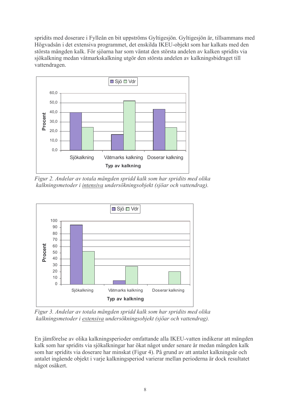spridits med doserare i Fylleån en bit uppströms Gyltigesjön. Gyltigesjön är, tillsammans med Högvadsån i det extensiva programmet, det enskilda IKEU-objekt som har kalkats med den största mängden kalk. För sjöarna har som väntat den största andelen av kalken spridits via sjökalkning medan våtmarkskalkning utgör den största andelen av kalkningsbidraget till vattendragen.



Figur 2. Andelar av totala mängden spridd kalk som har spridits med olika kalkningsmetoder i intensiva undersökningsobjekt (sjöar och vattendrag).



Figur 3. Andelar av totala mängden spridd kalk som har spridits med olika kalkningsmetoder i extensiva undersökningsobjekt (sjöar och vattendrag).

En jämförelse av olika kalkningsperioder omfattande alla IKEU-vatten indikerar att mängden kalk som har spridits via sjökalkningar har ökat något under senare år medan mängden kalk som har spridits via doserare har minskat (Figur 4). På grund av att antalet kalkningsår och antalet ingående objekt i varje kalkningsperiod varierar mellan perioderna är dock resultatet något osäkert.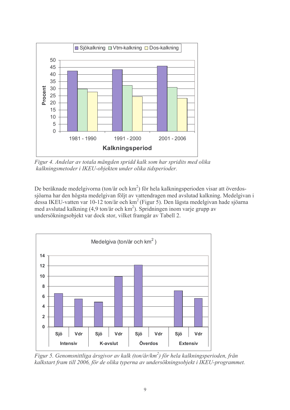

Figur 4. Andelar av totala mängden spridd kalk som har spridits med olika kalkningsmetoder i IKEU-objekten under olika tidsperioder.

De beräknade medelgivorna (ton/år och km<sup>2</sup>) för hela kalkningsperioden visar att överdossjöarna har den högsta medelgivan följt av vattendragen med avslutad kalkning. Medelgivan i dessa IKEU-vatten var 10-12 ton/år och km<sup>2</sup> (Figur 5). Den lägsta medelgivan hade sjöarna med avslutad kalkning (4,9 ton/år och km<sup>2</sup>). Spridningen inom varje grupp av undersökningsobjekt var dock stor, vilket framgår av Tabell 2.



Figur 5. Genomsnittliga årsgivor av kalk (ton/år/km<sup>2</sup>) för hela kalkningsperioden, från kalkstart fram till 2006, för de olika typerna av undersökningsobjekt i IKEU-programmet.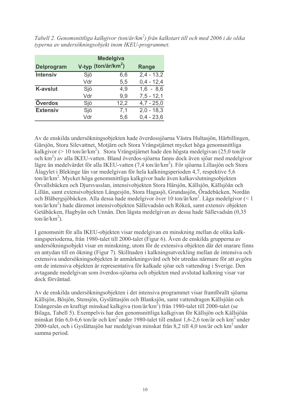| <b>Delprogram</b> | V-typ (ton/år/km <sup>2</sup> ) | <b>Medelgiva</b> | Range        |
|-------------------|---------------------------------|------------------|--------------|
| <b>Intensiv</b>   | Sjö                             | 6,6              | $2,4 - 13,2$ |
|                   | Vdr                             | 5,5              | $0,4 - 12,4$ |
| <b>K-avslut</b>   | Sjö                             | 4,9              | $1,6 - 8,6$  |
|                   | Vdr                             | 9,9              | $7,5 - 12,1$ |
| <b>Överdos</b>    | Sjö                             | 12,2             | $4,7 - 25,0$ |
| <b>Extensiv</b>   | Sjö                             | 7,1              | $2,0 - 18,3$ |
|                   | Vdr                             | 5,6              | $0,4 - 23,6$ |

Tabell 2. Genomsnittliga kalkgivor (ton/år/km<sup>2</sup>) från kalkstart till och med 2006 i de olika typerna av undersökningsobjekt inom IKEU-programmet.

Av de enskilda undersökningsobjekten hade överdossjöarna Västra Hultasjön, Härbillingen, Gärsjön, Stora Silevattnet, Motjärn och Stora Vrångstjärnet mycket höga genomsnittliga kalkgivor (> 10 ton/år/km<sup>2</sup>). Stora Vrångstjärnet hade den högsta medelgivan (25,0 ton/år och km<sup>2</sup>) av alla IKEU-vatten. Bland överdos-sjöarna fanns dock även sjöar med medelgivor lägre än medelvärdet för alla IKEU-vatten  $(7.4 \text{ ton/år/km}^2)$ . För siöarna Lillasiön och Stora Ålagylet i Blekinge län var medelgivan för hela kalkningsperioden 4,7, respektive 5,6  $\frac{\tan \pi}{\tan^2}$ . Mycket höga genomsnittliga kalkgivor hade även kalkavslutningsobjekten Örvallsbäcken och Diursvasslan, intensivobiekten Stora Härsiön, Källsiön, Källsiöån och Lillån, samt extensivobjekten Långesjön, Stora Hagasjö, Grundasjön, Öradebäcken, Nordån och Blåbergsjöbäcken. Alla dessa hade medelgivor över 10 ton/år/km<sup>2</sup>. Låga medelgivor (< 1 ton/år/km<sup>2</sup>) hade däremot intensivobjekten Sällevadsån och Rökeå, samt extensiv objekten Getåbäcken, Hagbyån och Unnån. Den lägsta medelgivan av dessa hade Sällevadsån (0.35  $\frac{\tan(\frac{\pi}{2})}{\tan^2(\frac{\pi}{2})}$ .

I genomsnitt för alla IKEU-objekten visar medelgivan en minskning mellan de olika kalkningsperioderna, från 1980-talet till 2000-talet (Figur 6). Även de enskilda grupperna av undersökningsobjekt visar en minskning, utom för de extensiva objekten där det snarare finns en antydan till en ökning (Figur 7). Skillnaden i kalkningsutveckling mellan de intensiva och extensiva undersökningsobjekten är anmärkningsvärd och bör utredas närmare för att avgöra om de intensiva objekten är representativa för kalkade sjöar och vattendrag i Sverige. Den avtagande medelgivan som överdos-sjöarna och objekten med avslutad kalkning visar var dock förväntad.

Av de enskilda undersökningsobjekten i det intensiva programmet visar framförallt sjöarna Källsjön, Bösjön, Stensjön, Gyslättasjön och Blanksjön, samt vattendragen Källsjöån och Enångersån en kraftigt minskad kalkgiva (ton/år/km<sup>2</sup>) från 1980-talet till 2000-talet (se Bilaga, Tabell 5). Exempelvis har den genomsnittliga kalkgivan för Källsjön och Källsjöån minskat från 6,0-6,6 ton/år och km<sup>2</sup> under 1980-talet till endast 1,6-2,6 ton/år och km<sup>2</sup> under 2000-talet, och i Gyslättasjön har medelgivan minskat från 8,2 till 4,0 ton/år och km<sup>2</sup> under samma period.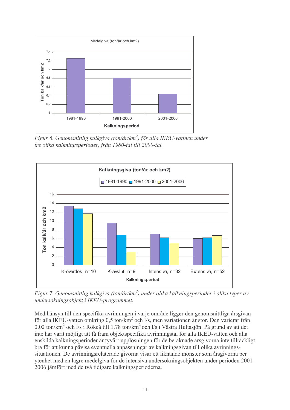

Figur 6. Genomsnittlig kalkgiva (ton/år/km<sup>2</sup>) för alla IKEU-vattnen under tre olika kalkningsperioder, från 1980-tal till 2000-tal.



Figur 7. Genomsnittlig kalkgiva (ton/år/km<sup>2</sup>) under olika kalkningsperioder i olika typer av undersökningsobjekt i IKEU-programmet.

Med hänsyn till den specifika avrinningen i varje område ligger den genomsnittliga årsgivan för alla IKEU-vatten omkring 0,5 ton/km<sup>2</sup> och l/s, men variationen är stor. Den varierar från 0,02 ton/km<sup>2</sup> och l/s i Rökeå till 1,78 ton/km<sup>2</sup> och l/s i Västra Hultasjön. På grund av att det inte har varit möjligt att få fram objektspecifika avrinningstal för alla IKEU-vatten och alla enskilda kalkningsperioder är tyvärr upplösningen för de beräknade årsgivorna inte tillräckligt bra för att kunna påvisa eventuella anpassningar av kalkningsgivan till olika avrinningssituationen. De avrinningsrelaterade givorna visar ett liknande mönster som årsgivorna per ytenhet med en lägre medelgiva för de intensiva undersökningsobjekten under perioden 2001-2006 jämfört med de två tidigare kalkningsperioderna.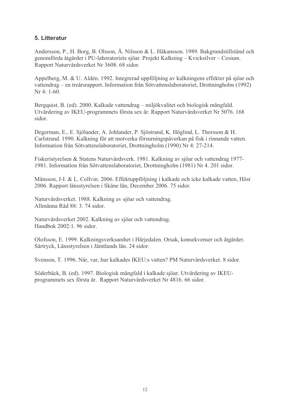#### 5. Litteratur

Andersson, P., H. Borg, B. Olsson, Å. Nilsson & L. Håkansson, 1989. Bakgrundstillstånd och genomförda åtgärder i PU-laboratoriets sjöar. Projekt Kalkning – Kvicksilver – Cesium. Rapport Naturvårdsverket Nr 3608. 68 sidor.

Appelberg, M. & U. Aldén. 1992. Integrerad uppföljning av kalkningens effekter på sjöar och vattendrag – en treårsrapport. Information från Sötvattenslaboratoriet, Drottningholm (1992)  $Nr 4 \cdot 1 - 60$ 

Bergquist, B. (ed), 2000. Kalkade vattendrag – miljökvalitet och biologisk mångfald. Utvärdering av IKEU-programmets första sex år. Rapport Naturvårdsverket Nr 5076. 168 sidor.

Degerman, E., E. Sjölander, A. Johlander, P. Sjöstrand, K. Höglind, L. Thorsson & H. Carlstrand. 1990. Kalkning för att motverka försurningspåverkan på fisk i rinnande vatten. Information från Sötvattenslaboratoriet, Drottningholm (1990) Nr 4: 27-214.

Fiskeristyrelsen & Statens Naturvårdsverk. 1981. Kalkning av sjöar och vattendrag 1977-1981. Information från Sötvattenslaboratoriet, Drottningholm (1981) Nr 4, 201 sidor.

Månsson, J-I. & L. Collvin. 2006. Effektuppföljning i kalkade och icke kalkade vatten, Höst 2006. Rapport länsstyrelsen i Skåne län, December 2006. 75 sidor.

Naturvårdsverket. 1988. Kalkning av sjöar och vattendrag. Allmänna Råd  $88 \cdot 3$  74 sidor

Naturvårdsverket 2002. Kalkning av sjöar och vattendrag. Handbok 2002:1, 96 sidor.

Olofsson, E. 1999. Kalkningsverksamhet i Härjedalen. Orsak, konsekvenser och åtgärder. Särtryck, Länsstyrelsen i Jämtlands län. 24 sidor.

Svenson, T. 1996. När, var, hur kalkades IKEU:s vatten? PM Naturvårdsverket. 8 sidor.

Söderbäck, B. (ed). 1997. Biologisk mångfald i kalkade sjöar. Utvärdering av IKEUprogrammets sex första år. Rapport Naturvårdsverket Nr 4816, 66 sidor.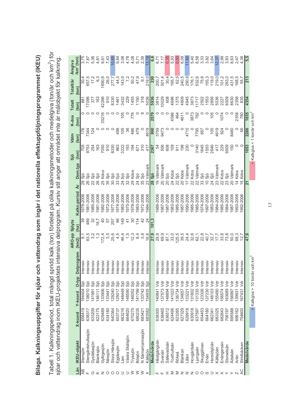Bilaga. Kalkningsuppgifter för sjöar och vattendrag som ingår i det nationella effektuppföljningsprogrammet (IKEU)

Tabell 1. Kalkningsperiod, total mängd spridd kalk (ton) fördelat på olika kalkningsmetoder och medelgiva (ton/år och km<sup>2</sup>) för<br>sjöar och vattendrag inom IKEU-projektets intensiva delprogram. Kursiv stil anger att området

|                            |                    |         |           |                |                                              | ARO-pp Sjöyta |                |                 |                               | Sjö                                         | Våtm  | K-dos   | <b>Totalt</b> | Totalt/år          | <b>Arsgiva</b>         |
|----------------------------|--------------------|---------|-----------|----------------|----------------------------------------------|---------------|----------------|-----------------|-------------------------------|---------------------------------------------|-------|---------|---------------|--------------------|------------------------|
| Län                        | <b>IKEU-objekt</b> | X-koord | Y-koord   | O-typ          | Delprogram                                   | (Km2)         | (ha)           | Kalkn.period Ar | Dom.typ                       | (ton)                                       | (ton) | (ton)   | (ton)         | (ton)              | /km <sup>2</sup> (ton) |
| ₹                          | Stensjön           | 656419  | 164404    | .<br>တ         | ntensiv                                      |               | တွ             | 978-2006        | ခ်<br>29                      |                                             | 176   | 0       | $\frac{8}{8}$ | 30,4               | 3,75                   |
| Щ                          | Stengårdshultasjön | 638317  | 38010     | ္တိ            | Intensiv                                     | 8.5<br>83,5   | 489            | 981-2006        | Siö<br>26                     |                                             | 7344  |         | 17096         | 657,5              | 7,87                   |
| ↺                          | Gyslättasjön       | 633209  | 141991    | 9is            | Intensiv                                     | 3. 3<br>3. 4  | 32             | 985-2006        | $\overline{2}$                | 705<br>0753<br>0763                         | 124   |         | 377           | 17,2               | 5,36                   |
| ⊻                          | Blanksjön          | 623175  | 146111    |                | Intensiv                                     |               | $\overline{8}$ | 981-2006        | Sjö<br>88                     |                                             |       |         | 163           | $6\overline{3}$    | 4,81                   |
| Ζ                          | Gyltigesjön        | 629489  | 33906     | 9is            | Intensiv                                     | 72,4          | a<br>4         | 982-2006        | Kdos<br>25                    | 7050                                        |       | 35216   | 12266         | 1690,6             | 9,81                   |
| $\circ$                    | Nässjön            | 634180  | 33441     | Siö            | Intensiv                                     | 3,5           | 57             | 972-2006        | Siö<br>35                     | 910                                         |       |         | $\frac{0}{9}$ | 26,0               | 7,43                   |
| $\circ$                    | Stora Härsjön      | 640364  | 129240    | Siö            | Intensiv                                     | 25,6          | 257            | 977-2006        | Siö<br>30                     | 8330                                        |       |         | 8330          | 277,7              | 10,85                  |
| $\circ$                    | Ejgdesjön          | 653737  | 125017    | Зö             | Intensiv                                     | 4,5           | 86             | 974-2006        | Siö<br>33                     | 963                                         | 498   |         | 146'          | 44,3               | 9,84                   |
| ⊃                          | Lien               | 663216  | 148449    | Siö            | Intensiv                                     | 46,4          | $\frac{9}{4}$  | 983-2006        | Siö<br>24                     | 3222                                        | 105   | 105     | 3432          | 143,0              | 3,08                   |
| ⊃                          | Västra Skälsjön    | 664620  | 148590    | Siö            | Intensiv                                     | 1,5           | $\frac{4}{7}$  | 975-2006        | Siö<br>32                     | $\frac{6}{3}$                               | 36    |         | 229           |                    | 4,78                   |
| 3                          | Tryssjön           | 670275  | 146052    | Sio            | Intensiv                                     | 12,3          | న్             | 978-2006        | Kdos<br>စွ                    | 194                                         | 486   | 776     | 1455          | 50,2               | 4,08                   |
| 彡                          | Bösjön             | 680235  | 141799    | Siö            | Intensiv                                     | 8,4           | $\frac{4}{1}$  | 983-2006        | Siö<br>$\overline{24}$        | 671                                         | 479   |         | 1150          | 47,9               | 5,71                   |
| ≥                          | N Särnamannasjön   | 683421  | 33742     | Siö            | Intensiv                                     | 3,8           | A.             | 972-2006        | Siö<br>35                     | 310                                         |       | တ       | 318           | $\overline{9}$ , 1 | 2,39                   |
| $\times$                   | Källsjön           | 683582  | 54935     | ္တိ            | ntensiv                                      | 16.6          |                | 984-2006        | Våtmark<br>23                 | 417                                         | 4619  | $\circ$ | 5036          | 219,0              | 13,19                  |
|                            | Medelvärde         |         |           |                |                                              | 27,9          | 101,3          |                 | 28 Siö                        | 2367                                        | 990   | 2579    | 5936          | 230                | <u>င်္</u>             |
|                            | Hästgångsån        | 638300  | 140841 Vd |                | Intensiv                                     | 29,9          |                | 988-2006        | Våtmark<br>$\frac{1}{9}$      |                                             | 3759  |         | 3814          | 200,7              |                        |
|                            | Svanán             | 638465  | 37573     | ğ              | Intensiv                                     | 69,9          |                | 987-2006        | Våtmark<br>g                  |                                             | 9473  |         | 10029         | 501,4              | $6,71$<br>7,17         |
|                            | Sällevadsån        | 636512  | 48894     | ş              | Intensiv                                     | 87,1          |                | 987-2006        | Sjö<br>$\overline{a}$         | <b>4556</b><br>4668                         |       | $\circ$ | 608           |                    | 0,35                   |
| ⋝                          | Tosthultsån        | 624495  | 141023    | ş              | Intensiv                                     | 33,0          |                | 983-2006        | Kdos<br>4                     | 109                                         |       | 4586    | 4696          | $30,4$<br>$195,7$  | 5,93                   |
| ≥                          | Rökeå              | 623265  | 36734     | ミ              | Intensiv                                     | 125,5         |                | 985-2006        | Siö<br>Š,                     | 911                                         |       | 464     | 1375          | 62,5               | 0,50                   |
| z                          | Blankan            | 627329  | 134657    | ş              | Intensiv                                     | 39,5          |                | 987-2006        | Kdos                          | 198                                         |       | 4611    | 4809          | 240,5              | 6,09                   |
| z                          | Lillân             | 628918  | 133221    | ş              | Intensiv                                     | 24,4          |                | 990-2006        | Våtmark                       | 230                                         | 4715  |         | 4945          | 290,9              | 11,92                  |
| z                          | Hovgårdsår         | 630918  | 131602    | ş              | Intensiv                                     | 32,6          |                | 985-2006        | Kdos<br>$\tilde{\mathcal{L}}$ |                                             |       | 3873    | 3873          | 176,1              | 5,40                   |
| O                          | Ljungaån           | 637597  | 31335     | ğ              | Intensiv                                     | 62,1          |                | 985-2006        | <b>Vätmark</b><br>Σj          | 3140                                        | 7795  | 782     | 1717          | 532,6              | 8,58                   |
| O                          | Skuggälven         | 654453  | 23326     | Š              | Intensiv                                     | 22,8          |                | 974-2006        | Siö<br>33                     | 1645                                        | 857   |         | 2502          | 75,8               | 3,33                   |
| ഗ                          | Enån               | 664180  | 37230     | ş              | Intensiv                                     | 40,7          |                | 997-2006        | Siö                           | 1553                                        |       |         | 1553          | 155,3              | 3,82                   |
|                            | Haraldsjöån        | 662341  | 148103    | Š              | Intensiv                                     | 32,7          |                | 983-2006        | Siö                           | 2646                                        | 105   | 105     | 2856          | 119,0              | 3,64                   |
| $\times$ $\times$ $\times$ | Källsjöån          | 683325  | 55490     | ş              | Intensiv                                     |               |                | 984-2006        | Vätmark<br>ಜ                  | 417                                         | 4619  | $\circ$ | 5036          | 219,0              | 12.37                  |
|                            | Enångersån         | 682643  | 56574     | ğ              | Intensiv                                     | 33,8          |                | 985-2006        | Kdos<br>$\tilde{\Omega}$      | 229                                         | 924   | 1074    | 227           | 101,2              | 2,99                   |
|                            | Storselsån         | 706197  | 63689     | ğ              | Intensiv                                     | 73,8          |                | 984-2006        | Siö<br>ಜ                      | 6509                                        |       |         | 6509          | 283,0              | 3,83                   |
|                            | Adalsån            | 695588  | 56997 Vd  |                | Intensiv                                     | 50,0          |                | 987-2006        | Våtmark                       | 150                                         | 8480  |         | 8630          | 431,5              | 8,63                   |
|                            | Arán               | 696162  | 39931 Vd  |                | Intensiv                                     | 68,3          |                | 993-2006        | Kdos<br>4                     |                                             |       | 2358    | 2358          | 168,5              | 2,47                   |
| $\lambda$ C                | Stridbäcken        | 704600  | 167431    | $\overline{5}$ | ntensiv                                      | 12,7          |                | 992-2006        | Kdos<br>$\overline{5}$        | $\circ$                                     | 56    | 780     | 835           | 55,7               | 4,38                   |
|                            | Medelvärde         |         |           |                |                                              | 47,6          |                |                 | $\overline{21}$               | 1053                                        | 2266  | 1035    | 4354          | 213                | 5,5                    |
|                            |                    |         |           |                | $=$ Kalkgiva > 10 ton/år och km <sup>2</sup> |               |                |                 |                               | $=$ Kalkgiva < 1 ton/år och km <sup>2</sup> |       |         |               |                    |                        |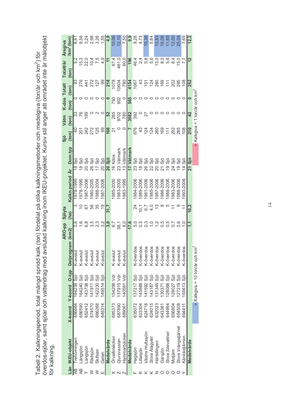Tabell 2. Kalkningsperiod, total mängd spridd kalk (ton) fördelat på olika kalkningsmetoder och medelgiva (ton/år och km<sup>2</sup>) för<br>överdos-sjöar, samt sjöar och vattendrag med avslutad kalkning inom IKEU-projektet. Kursiv st

|                 |                     |         |                               |           | <b>ARO-pp</b>                                                                                                                                                                                                             | Sjöyta         |                 |                                | Sjö                                         | <b>Våtm</b>        | K-dos Totalt |                 | <b>Totalt/år</b>    | Arsgiva                |
|-----------------|---------------------|---------|-------------------------------|-----------|---------------------------------------------------------------------------------------------------------------------------------------------------------------------------------------------------------------------------|----------------|-----------------|--------------------------------|---------------------------------------------|--------------------|--------------|-----------------|---------------------|------------------------|
|                 | Län IKEU-objekt     | X-koord | Y-koord O-typ Delprogram      |           | (km2)                                                                                                                                                                                                                     | (ha)           | Kalkn.period Ar | Dom.typ                        | (10n)                                       | $($ ton $)$        | $($ ton $)$  | $($ ton $)$     | (10n)               | /km <sup>2</sup> (ton) |
| $\overline{AB}$ | <b>Trehörningen</b> | 656664  | 64238 Siö                     | K-avslut  |                                                                                                                                                                                                                           |                | 1978-1995       | ္ဘီ<br>æ                       | 8                                           |                    |              | 3               | 5,2                 | 8.61                   |
|                 | angsjön-            | 656590  | 64240 Sjö                     | K-avslut  |                                                                                                                                                                                                                           | $\overline{C}$ | 978-1995        | ္ဘိ                            | $\overline{5}$                              | 76                 |              |                 | $15,004$<br>$7,004$ | 9,58                   |
|                 | Långsjön            | 652412  | 43738 Siö                     | K-avslut  | 6,8                                                                                                                                                                                                                       | 57             | 987-2006        | ္ဘိ                            | 242<br>272                                  | 99                 |              |                 |                     | 3,24                   |
|                 | Rädsjön             | 674570  | 41911 Sjö                     | K-avslut  |                                                                                                                                                                                                                           | 56             | 980-2005        | Sio<br>88                      |                                             |                    |              | 24227<br>2727   |                     |                        |
|                 | Skifsen             | 666268  | 42230 Sjö                     | K-avslut  | ເດັນ<br>ພິທີມ                                                                                                                                                                                                             | 35             | 988-2004        | ္ဘိ                            | 125                                         |                    |              |                 | 7,5                 | 2,98<br>3,26           |
|                 | Geten               | 649314  | 149514 Sjö                    | K-avslut  |                                                                                                                                                                                                                           | $\overline{9}$ | 987-2006        | Siö<br>ລິ                      | 8                                           |                    |              | 99              | 4,9                 | 1,55                   |
|                 | Medelvärde          |         |                               |           |                                                                                                                                                                                                                           | 31,7           |                 | $20$ Sjö                       | 166                                         | <u>ვ</u>           |              | <b>218</b>      | $\tilde{=}$         | <u>୦</u><br>4          |
|                 | Örvallsbäcken       | 685373  | 54298 Vdr                     | K-avslut  |                                                                                                                                                                                                                           |                | 985-2000        | 16 Kdos                        | 24                                          |                    |              |                 | 67,4                | 10,06                  |
|                 | Djursvasslan        | 687890  | 37915 Vdr                     | K-avslut  | $\frac{1}{2}$<br>$\frac{1}{2}$<br>$\frac{1}{2}$<br>$\frac{1}{2}$<br>$\frac{1}{2}$<br>$\frac{1}{2}$<br>$\frac{1}{2}$<br>$\frac{1}{2}$<br>$\frac{1}{2}$<br>$\frac{1}{2}$<br>$\frac{1}{2}$<br>$\frac{1}{2}$<br>$\frac{1}{2}$ |                | 983-2005        | 23 Våtmark                     | $\circ$                                     | 265<br>9702<br>780 | 793<br>902   | 10604           | 461,0               | 12,10                  |
|                 | Hammarbäcken        | 689061  | 40561 Vdr                     | K-avslut  |                                                                                                                                                                                                                           |                | 983-1995        | 13 Våtmark                     | $\circ$                                     |                    |              | 780             | 60,0                | 7,50                   |
|                 | Medelvärde          |         |                               |           | 17,6                                                                                                                                                                                                                      |                |                 | 17 Våtmark                     |                                             | 3582               | 565          | 4154            | 196                 | ၜၟ                     |
|                 | Hagsjön             | 635072  | 37217 Sjö                     | K-överdo  |                                                                                                                                                                                                                           | 24             | 984-2006        | Siö<br>23                      | 676                                         | 392                |              | 1067            | 46,4                | 9,28                   |
|                 | llasjön             | 623304  | ës<br>45888                   | K-överdc  |                                                                                                                                                                                                                           | $\overline{0}$ | 989-2006        | ္ဘိ<br>$\frac{\infty}{\infty}$ | 43                                          |                    |              | $\frac{3}{4}$   | 2,4                 | 4,73                   |
|                 | Västra Hultasjön    | 624718  | 41592                         | K-överdo  |                                                                                                                                                                                                                           | 6,7            | 981-2006        | <br>တ                          | 124                                         |                    |              | $\frac{15}{2}$  | 5,8                 | 19,38                  |
|                 | Stora Alagylei      | 624015  | 43187                         | K-överdc  |                                                                                                                                                                                                                           | $\ddot{ }$     | 985-2006        | ္ဘိ                            | 124                                         |                    |              |                 | 5,6                 | 5,64                   |
|                 | Härbillingen        | 632023  | 31345 Sjö                     | K-överdo  |                                                                                                                                                                                                                           | $\frac{1}{2}$  | 987-2006        | .<br>Sio                       | 260                                         |                    |              | $\frac{58}{30}$ | 13,0                | 10,83                  |
|                 | Gärsjön             | 643361  | ິອ<br>ິ<br>30371              | K-överdc  |                                                                                                                                                                                                                           | $\infty$       | 986-2006        | ္ဘိ                            | 169                                         |                    |              |                 |                     | 16,08                  |
|                 | Stora Silevattnet   | 644964  | ës<br>28088                   | K-överdo  | 0,5                                                                                                                                                                                                                       | ယ              | 988-2006        | ္ဘိ                            | 111                                         |                    |              | $\frac{1}{11}$  | ∞ ro ∞<br>⊙ ∞ 4     | 11,69                  |
|                 | Motjärn             | 656804  | 28027 Sjö                     | K-överdo  | 0,7                                                                                                                                                                                                                       |                | 983-2006        | .<br>Sio                       | 202                                         |                    |              |                 |                     | 12,00                  |
|                 | Stora Vrångstjärnet | 654508  | 27219 Sič                     | K-överdc  | 0,6                                                                                                                                                                                                                       |                | 988-2006        | .<br>Sio<br>$\overline{9}$     | 285                                         |                    |              | 202<br>285      | 5,7<br>7,7          | 25,04                  |
|                 | Kânkâstjärnen       | 694411  | Siö<br>55613                  | K-överdos | $\frac{1}{2}$                                                                                                                                                                                                             |                | 993-2006        | Siö<br>4                       | 108                                         |                    |              | $\frac{8}{108}$ |                     | 7,69                   |
|                 | Medelvärde          |         |                               |           |                                                                                                                                                                                                                           | 10,2           |                 | Sjö<br>21                      | <b>210</b>                                  | 42                 |              | 252             |                     |                        |
|                 |                     |         | = Kalkgiva > 10 ton/år och kn |           |                                                                                                                                                                                                                           |                |                 |                                | $=$ Kalkgiva < 1 ton/år och km <sup>2</sup> |                    |              |                 |                     |                        |

 $\frac{1}{4}$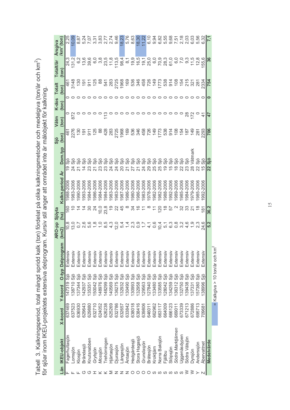Tabell 3. Kalkningsperiod, total mängd spridd kalk (ton) fördelat på olika kalkningsmetoder och medelgiva (ton/år och km<sup>2</sup>)<br>för sjöar inom IKEU-projektets extensiva delprogram. Kursiv stil anger att området inte är målobj

|     |                   |         |                               |          |                  | ARO-pp            | Sjöyta                                       |                 |                           | Sjö                  | Våtm          | K-dos | <b>Totalt</b>                                           | Totalt/år                     | Arsgiva                |
|-----|-------------------|---------|-------------------------------|----------|------------------|-------------------|----------------------------------------------|-----------------|---------------------------|----------------------|---------------|-------|---------------------------------------------------------|-------------------------------|------------------------|
|     | Län IKEU-objekt   | X-koord | Y-koord                       |          | O-typ Delprogram | (Km2)             | (ha)                                         | Kalkn.period Ar | Dom.typ                   | (ton)                | (ton)         | (ton) | (ton)                                                   | (10n)                         | /km <sup>2</sup> (ton) |
|     | agerhultasjön     | 637469  | 47319                         | öi       | Extensi          | $\frac{8}{2}$     | 160                                          | 1988-2006       |                           |                      |               |       | 461                                                     |                               | 2,25                   |
|     | _omsjön           | 637523  | 38710                         | ခြ       | Extensi          | 13,0              |                                              | 1983-2006       | はいはい                      | 461<br>2705<br>48125 | $rac{0}{872}$ |       | 3148                                                    | 24,3<br>131,2                 | 10,09                  |
|     | Klosjön           | 636930  | 137344                        | Siö      | Extensi          |                   |                                              | 1990-2006       | ္တိ                       |                      |               |       | $\frac{5}{2}$ $\frac{2}{2}$ $\frac{2}{2}$ $\frac{2}{2}$ |                               | 8,87                   |
| ር י | <b>Brändasjö</b>  | 629643  | 142937                        | öë       | Extensi          |                   |                                              | 1993-2006       | .<br>Si                   |                      |               |       |                                                         |                               | 5,24                   |
| ር י | Knutsnabben       | 629880  | 135351                        |          | Extensi          |                   | ్ల                                           | 984-2006        | ္ဘိ                       |                      |               |       |                                                         | 0 10 10<br>0 10 10<br>0 10 10 | 7,07                   |
|     | Grytsjön          | 632710  | 50042                         | öis      | Extensi          | 00.00<br>10.00    | $\overline{4}$                               | 986-2006        | <br>တ<br>$\overline{z}$   | 125                  |               |       |                                                         |                               | 3,31                   |
|     | Mossjön           | 624052  | 48976                         | Siö      | Extensi          |                   | 10,0                                         | 984-2006        | 23                        | 88                   |               |       | $\infty$                                                | ဝ ထ<br>(၁ က                   | 3,83                   |
|     | rehörningen       | 626238  | 48299                         | Siö      | Extensi          |                   | 23,8                                         | 984-2006        | .<br>Sio<br>234           | 428                  |               |       |                                                         | 23,5                          |                        |
|     | ljärtasjön        | 625269  | 40569                         | Siö      | Extensi          | $4.\overline{3}$  | <u>ု</u>                                     | 983-2006        | .<br>Sio                  | 283                  |               |       |                                                         | 11,8                          | 2,74                   |
|     | Ojurasjön         | 632786  | 136275                        | Siö      | Extensi          | $\frac{1}{2}$ 5.4 | ನ                                            | 983-2006        | ္ကိ<br>$\frac{2}{4}$      | 2725<br>1968         |               |       |                                                         | 113,5                         | 9,46                   |
|     | angesjön.         | 632657  | 32932                         | .<br>Sio | Extensi          |                   | 45                                           | 987-2006        | <br>Sio                   |                      |               |       |                                                         | 98,4                          | 18,23                  |
|     | Äntasjön          | 633842  | 130490                        | Siö      | Extensi          |                   |                                              | 1986-2006       | ္ဘိ<br>7<br>22            | 169                  |               |       |                                                         | $\overline{\circ}$            | 5,76                   |
|     | Hedgärdesjö       | 638018  | 130993                        | Siö      | Extensi          | $2\degree$        | રુ                                           | 980-2006        | .<br>Sio                  |                      |               |       |                                                         |                               | 8,63                   |
|     | Stora Hagasjö     | 638416  | 132958                        | ခြ       | Extensi          | $\frac{0}{2}$     | $\stackrel{\circ}{=} \stackrel{\circ}{\tau}$ | 986-2006        | .<br>Sio                  |                      |               |       |                                                         |                               | 18,30                  |
|     | Grundasjön        | 639806  | 29563                         | Sjö      | Extensi          |                   |                                              | 983-2006        | .<br>Sio<br>24            |                      |               |       |                                                         |                               | 11,22                  |
|     | Bråtesjön         | 646011  | 127840                        | э.<br>О  | Extensi          | $\frac{4}{3}$     |                                              | 978-2006        | .<br>Э<br>29              |                      |               |       |                                                         |                               | 6,10                   |
| S   | Kroktjärn         | 662962  | 133480                        | Sö       | Extensi          |                   |                                              | 982-2006        | 25                        |                      |               |       |                                                         |                               | 9,94                   |
| - U | Norra Baksjön     | 663117  | 133585                        | Siö      | Extensi          | $0, 4$<br>$0, 4$  | 120                                          | 982-2006        | <u>ားခို</u><br>25        |                      |               |       |                                                         |                               | 6,82                   |
| ၯ   | Fjällbu           | 664009  | 128042                        | Siö      | Extensi          | 5,1               |                                              | 988-2006        | .<br>Sio<br>$\frac{0}{1}$ | 1773<br>538<br>914   |               |       |                                                         |                               | 5,55                   |
| ဟ ဟ | Stöpsjön          | 666123  | 34259                         | Siö      | Extensi          | <u>င်</u>         | 57                                           | 992-2006        | ္ဘိ                       |                      |               |       |                                                         |                               | 9,68                   |
|     | Södra Marktjärnen | 669011  | 136312                        | Sö       | Extensi          |                   |                                              | 1989-2006       |                           |                      |               |       |                                                         | c,                            | 7,51                   |
|     | Jggenäsdypen      | 673339  | 32750                         |          | Extensi          |                   | ೫                                            | 985-2006        | 22                        | $648$<br>$248$       |               |       |                                                         | D.C                           | 2,18                   |
|     | Södra Vålsjön     | 671213  | 39438                         | Siö      | Extensi          |                   | က္က                                          | 984-2006        | 23                        |                      | 88            |       |                                                         | ე.<br>თ                       | 2,03                   |
|     | Jyrsjön           | 672886  | 37331                         | Sjö      | Extensi          |                   | 21                                           | 979-2006        | Våtmark<br>$\frac{8}{2}$  | 149                  | 172           |       | $18798$<br>$2829$                                       | $\frac{5}{11}$                |                        |
|     | Anderssjön        | 695713  | 57380                         | Siö      | Extensi          |                   |                                              | 1985-2006       | 22                        | 281                  |               |       |                                                         | 12,8                          | 5,56                   |
|     | Abervattnet       | 709681  | 38996                         | Siö      | Extensi          | 24,6              | $\frac{1}{10}$                               | 992-2006        | $\overline{5}$            | 2293                 |               |       | 233 <sup>2</sup>                                        | 55,6                          |                        |
|     | Medelvärde        |         |                               |          |                  | 5,2               | 36,2                                         |                 | $\frac{1}{3}$<br>22       | 706                  | 47            |       | <b>754</b>                                              |                               |                        |
|     |                   |         | = Kalkgiva > 10 ton/år och km |          |                  |                   |                                              |                 |                           |                      |               |       |                                                         |                               |                        |

 $15$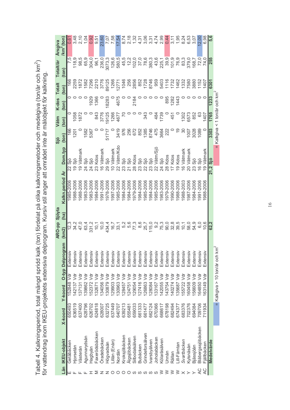Tabell 4. Kalkningsperiod, total mängd spridd kalk (ton) fördelat på olika kalkningsmetoder och medelgiva (ton/år och km<sup>2</sup>)<br>för vattendrag inom IKEU-projektets extensiva delprogram. Kursiv stil anger att området inte är m

|           |                   |         |           |                                   | ARO-pp Sjöyta           |                 |                                | Sjö                                     | Våtm            | K-dos      | <b>Totalt</b>        | Totalt/år      | Arsgiva                |
|-----------|-------------------|---------|-----------|-----------------------------------|-------------------------|-----------------|--------------------------------|-----------------------------------------|-----------------|------------|----------------------|----------------|------------------------|
|           |                   |         |           |                                   |                         |                 |                                |                                         |                 |            |                      |                |                        |
|           | Län IKEU-objekt   | X-koord | Y-koord   | O-typ Delprogram                  | (ha)<br>(Km2)           | Kalkn.period Ar | Dom.typ                        | (ton)                                   | (ton)           | (ton)      | (ton)                | $(\text{ton})$ | /km <sup>2</sup> (ton) |
|           | Getåbäcken        | 650493  | 52848 Vdr | Extensi                           |                         | 1985-2006       | Siö                            | 166                                     | 0               | 0          | 166                  | 7,5            | 0,6'                   |
|           | Hjorsetån         | 636519  | 142137    | Extensi<br>ş                      | 12,3<br>34,2            | 988-2006        | Sjö                            | 1201                                    | 1058            |            | 2259                 | 118,9          | 3,48                   |
|           | Västerån          | 637400  | 137131    | Extensi<br>ş                      | 47,0                    | 988-2006        | Våtmark                        |                                         | 872             |            |                      | 98,5           | 2,10                   |
|           | Agunnarydsån      | 628796  | 39862     | Extensi<br>ş                      | 83720<br>83720<br>83720 | 983-2006        | Sö<br>24                       | 1582                                    |                 |            | 1872<br>1582<br>7296 | 65,9           | 1,04                   |
|           | Hagbyån           | 626702  | 52372     | Extensi<br>ş                      |                         | 983-2006        | Siö<br>24                      | 5367                                    |                 | 1929       |                      | 304,0          |                        |
|           | Faxerödsbäcken    | 624818  | 32671     | Extensi<br>ş                      |                         | 984-2006        | Kdos<br>23                     |                                         | 843             | 1366       | 221C                 | 96,1           | 9,51                   |
|           | Oradebäcken       | 628007  | 134056    | Extensi<br>ş                      |                         | 1991-2006       | Våtmark<br>$\frac{6}{1}$       |                                         | 3776            |            | 3776                 | 236,0          | 23,60                  |
|           | Högvadsån         | 632725  | 30879     | Extensi<br>ş                      | 134,4                   | 978-2006        | Siö<br>29                      | 5171                                    | 9125            | 8283       | 89125                | 3073,3         | 7,07                   |
|           | -illån (Enån)     | 637449  | 29903     | Extensi<br>ş                      |                         | 907-2006        | Våtmark<br>$\subseteq$         |                                         | 1266            |            | 1266                 | 126,6          | 7,58                   |
|           | Nordån            | 640707  | 30963     | Extensi<br>ş                      | $\frac{16}{33}$         | 985-2006        | vätm/Kdo<br>22                 | 3419                                    | 4677            | 4675       | 12771                | 580,5          | 17.54                  |
|           | Kroksjöbäcken     | 639213  | 28457     | Extensi<br>ş                      | 5,2                     | 1984-2006       | Siö<br>23                      | 976                                     | S               |            | 1046                 | 45,5           | 8,74                   |
|           | Älgsjöbäcken      | 65548   | 124751    | Extensi<br>ş                      |                         | 1984-2006       | Siö                            |                                         |                 |            |                      | 12,2           | 2,18                   |
| ഗ         | Silbodalsälven    | 659033  | 29054     | Extensi<br>ş                      | 5,6<br>77,3             | 979-2006        | Kdos<br>$\frac{8}{2}$          |                                         |                 | 2184       | 256<br>2856          | 102,0          | 1,32                   |
| ഗ         | Bubäcken          | 661333  | 27416     | Extensi<br>ş                      | 8,6                     | 984-2006        | Sio                            | 256<br>672<br>852                       |                 |            | 852                  | 37,0           | 4,3'                   |
| ၯ         | Grindeforsälven   | 661477  | 26863     | Extensi<br>ş                      | 25,7                    | 985-2006        | Siö                            | 1385<br>8746<br>475                     | 343             |            | 1728<br>8746<br>959  | 78,6           | 3,06                   |
| ഗ         | lvarsbyälven      | 662124  | 28084     | Extensi<br>ş                      | 15,0                    | 984-2006        | Sio<br>23                      |                                         |                 |            |                      | 380,3          | 3,3'                   |
|           | Joholabäcken      | 670366  | 33167     | Extensi<br>ş                      | ာ့်                     | 985-2006        | vätm/Sjö                       |                                         | 484             |            |                      | 43,6           | 4,74                   |
|           | Kölaråsälven      | 668617  | 42055     | Extensi<br>ş                      | 75,3                    | 983-2006        | Sjö<br>24                      | 3664                                    | I739            |            | 5403                 | 225,1          | 2,99                   |
|           | Jnnån             | 678198  | 143754    | Extensi<br>ş                      | 90,0                    | 979-2006        | Kdos<br>8<br>20                | 222                                     |                 | 895        | 1116                 |                | 0,44                   |
|           | Rällan            | 682494  | 140274    | Extensi<br>ş                      | 32,8                    | 990-2006        | Kdos                           |                                         | 45'             | <b>282</b> | 1732                 | 101,9          | 3,11                   |
|           | lill-Fämtan       | 674377  | 35687     | Extensi<br>ş                      | 39,5                    | 988-2006        | Kdos<br>$\circ$                |                                         |                 | 1443       | 1462                 | 76,9           | 1,95                   |
|           | Svartbäcken       | 683376  | 55722     | Extensi<br>ş                      | 10,1                    | 988-2003        | Våtmark<br>.<br>ت              | ౚ                                       | $\frac{302}{2}$ |            | 1332                 | 83,3           | 8,24                   |
|           | Kylsnäsån         | 702376  | 60458     | Extensi<br>ş                      | 58,0                    | 987-2006        | Våtmark<br>$\overline{20}$     | 1007                                    | 6573            |            | 7580                 | 379,0          | 6,53                   |
|           | Bjässjöån         | 694084  | 56609 Vd  | Extensi                           | 54,9                    | 984-2006        | Sjö<br>23                      | 3028                                    | 852             |            | 3880                 | 168,7          | 3,07                   |
| S         | Blåbergssjöbäcken | 709706  | 64850 Vdr | Extensi                           | 6,0                     | 901-2006        | Siö                            | 1089                                    | යි              |            | 1152                 | 72,0           | 2.00                   |
| $\lambda$ | Fjällbäcken       | 71934   | 63149     | Extensi<br>ğ                      | 10,6                    | 988-2006        | Våtmark<br>$\overline{\Omega}$ |                                         | 1407            |            | 1407                 | 74,0           | 6,98                   |
|           | Medelvärde        |         |           |                                   | 62,2                    |                 | Sjö<br>21,2                    | 3303                                    | 1765            | 1233       | 6301                 | 255            | 5,6                    |
|           |                   |         |           | Έ<br>= Kalkgiva > 10 ton/år och k |                         |                 | ī                              | Kalkgiva < 1 ton/år och km <sup>2</sup> |                 |            |                      |                |                        |

 $16$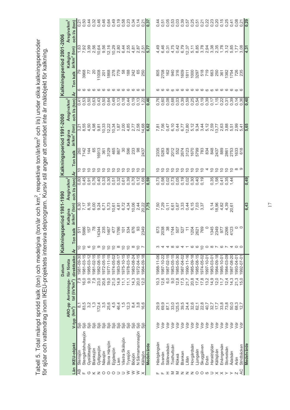|                           | Arsgiva/km <sup>2</sup> | och I/s (ton)              | 0,21             | 0,50               |                |               | O O O O O O O<br>4 W 4 4 @ 4 L<br>4 U @ @ 4 @ @ |                 |                |                |                                            | 0,58            | 0,34                 |                 | 0,14             | 0,21       | $\frac{1}{0.37}$ | 0,44        | 0,51         | 0,05        | 0,53        |                |                    | O O O O O O<br>O O O O O O<br>O O O O O O                                      |                 |                  |                            |            |                |                    | 22<br>22225<br>2225                                 | 0,25           | 0,41           | 0,08            | 0,21                      | $\frac{62}{20}$ |
|---------------------------|-------------------------|----------------------------|------------------|--------------------|----------------|---------------|-------------------------------------------------|-----------------|----------------|----------------|--------------------------------------------|-----------------|----------------------|-----------------|------------------|------------|------------------|-------------|--------------|-------------|-------------|----------------|--------------------|--------------------------------------------------------------------------------|-----------------|------------------|----------------------------|------------|----------------|--------------------|-----------------------------------------------------|----------------|----------------|-----------------|---------------------------|-----------------|
|                           | Kalkgiva                | år/km <sup>2</sup> (ton)   |                  | $7.92$<br>$7.92$   |                |               | 3,56<br>2,56<br>10,64                           | 9,56            | 12,16          | 10,29          | 2,80                                       |                 | 6,44<br>2,55         | 4,81            | 2,87             | 2,51       | 5,77             | 4,49        | 6,46         | 0,31        | 4,75        | 0,42           | 6,79               | 12,37                                                                          |                 | 5, 11<br>8, 85   | 3,78                       | 2,94       | 3,38           | 2,35               | 1,78                                                | 3,12           | 5,85           | $1,77$<br>3,08  |                           | $\sqrt{4,31}$   |
| Kalkningsperiod 2001-2006 |                         | Ton kalk                   |                  | 3968               | 77             | 20            | 11008                                           | 201             | 1868           | 278<br>779     |                                            | 58              | 188                  | 242             | 89               | 250        |                  | 805         | 2708         | 162         |             |                |                    | 940<br>31602<br>940                                                            |                 | 1000<br>3297     |                            |            |                |                    | 518<br>2009<br>5000 000 000<br>5000 0000 000        |                |                |                 | 726<br>235                |                 |
|                           |                         | ৰ্ব                        |                  |                    | <u>ဖ ဖ ဖ ဖ</u> |               | $\circ$                                         |                 |                |                | $\circ\circ\circ\circ\circ\circ\circ\circ$ |                 |                      |                 |                  |            |                  |             |              |             |             | ശശ             | ഗ ഗ                |                                                                                | $\circ$         | $\circ$          |                            |            |                |                    | 00000000                                            |                |                |                 |                           |                 |
|                           | Arsgiva/km <sup>2</sup> | och I/s (ton)              |                  |                    |                |               |                                                 |                 |                | 0,49           | 0,13                                       | 0,18            | 0,44                 | 0, 19           | 0, 13            | 1,22       | 0,46             | 0,76        | 0,60         | 0,08        | 0,68        |                |                    | 039954<br>039954<br>00000                                                      |                 |                  | 0,19                       | 0,39       |                |                    | 0.15<br>0.237.39<br>0.00.0                          |                |                | 0,14            | 0.36                      | 0,40            |
| Kalkningsperiod 1991-2000 | Kalkgiva                | år/km <sup>2</sup> (ton)   | $3,21$<br>$8,55$ |                    | 4,50           | 4,98          | 9,81                                            | 10,33           | 12,22          | 10,34          | 1,87                                       | 2,00            | 4,85                 | 2,77            | 2,58             | 14,68      | 6,62             |             | 7,56         | 0,47        | 6,10        | 0,44           | 6,77               | 12,80                                                                          | 5,12            | 9,34             |                            |            |                |                    | 13,638<br>15,638<br>15,63                           |                |                | 2,99            | 5.41                      | 5,65            |
|                           |                         | <b>Ton kalk</b>            | 260              | 7142               | 144            | 65            | 6913                                            | 361<br>3129     |                | 465            | 867                                        | 8               |                      | 598<br>233      | 8                | 2437       |                  |             | 2335<br>5283 | 408         |             |                |                    |                                                                                |                 |                  |                            |            |                |                    |                                                     | 2861           | 2753           | 1633<br>618     |                           |                 |
|                           |                         | $\mathbf{\dot{A}}$         |                  |                    |                |               | 999999999999                                    |                 |                |                |                                            |                 |                      |                 |                  |            |                  |             |              |             |             |                |                    | 222222222222                                                                   |                 |                  |                            |            |                |                    |                                                     |                |                | ထ တ             |                           |                 |
|                           | Arsgiva/km <sup>2</sup> | och I/s (ton)              |                  | $0,45$<br>0.45     | 0,91           |               |                                                 |                 |                |                | 0,32                                       | 0,61            | 0,39<br>0,72<br>0,12 |                 |                  | 1,68       | 0,59             | 0,73        | 0,58         |             |             |                |                    | $\begin{array}{c} 0.78 \\ 0.78 \\ 0.00 \\ 0.00 \\ 0.00 \\ 0.00 \\ \end{array}$ |                 | $0,40$<br>$0,19$ |                            |            |                | 0,35               |                                                     | $0,41$<br>0.35 | 1,44           |                 |                           | 0,49            |
| gsperiod 1981-1990        | Kalkgiva                | år/km <sup>2</sup> (ton)   |                  | 6,30<br>7,17       | 8,16           |               | 6,24<br>9,24                                    | 6,71            | 5,73           | 10,61          | 4,81                                       | 6,72            | 4,34                 | 10,06           | 2,44             | 20,22      | 7,75             | 7,50        | 7,29         | 0,11        | 6,61        |                | 0,67<br>3,33       | 0,44                                                                           | 6,15            | 7,03<br>3,37     |                            |            | 5,14           |                    | $18,82$<br>4,82                                     | 4,39           | 20,61          |                 |                           | 6,43            |
|                           |                         | kalk<br>Ton                | 511              | 5986               | 157<br>78      |               | 4344                                            | 235<br>1467     |                | 477            | 1786                                       | $\overline{5}$  | 534                  | 676             | ္တ               | 2349       |                  | 673         | 2038         | 38          |             |                | 1744<br>507<br>507 | $\tilde{r}$                                                                    | 1204            |                  | 2621<br>769                |            | 1345           |                    | 2349<br>977                                         | 2266           | 4123           |                 |                           |                 |
| Kalknin                   |                         | $\mathbf{\dot{A}}$         |                  | $\tilde{C}$        | ဖ              | $\circ$       | ာ                                               | $\overline{C}$  | $\overline{C}$ | $\overline{C}$ | $\infty$                                   | $\frac{0}{1}$   | $\frac{0}{1}$        | $\infty$        | $\frac{1}{2}$    |            |                  |             | 4            | 4           | $\infty$    | $\circ$        |                    |                                                                                | ဖ               | G                |                            |            |                |                    | $Q$ $\circ$ $\circ$ $\circ$ $\circ$ $\circ$ $\circ$ |                | 4              | $\circ$ $\circ$ |                           |                 |
| <b>Datum</b>              | för första              | direktkalkn                | 1981-09-30       | 1981-03-15         | 1985-03-12     | 1981-02-15    | 1982-08-15                                      | 1972-05-15      | 1977-11-15     | 1974-05-02     | 1983-08-17                                 | 1975-10-15      | 1978-03-15           | 1983-08-24      | 1972-04-15       | 1984-09-18 |                  | 1988-11-06  | 1987-10-22   | 1987-02-15  | 1983-05-15  | 1985-05-30     | 1987-04-02         | 1990-11-16                                                                     | 1985-09-18      | 1985-08-15       | 1974-05-02                 | 1997-10-01 | 1983-03-01     | 1984-09-18         | 1985-10-01                                          | 1984-03-09     | 1987-08-20     | 1993-04-01      | 1992-07-01                |                 |
|                           | ARO-pp Avrinnings-      | tal (I/s*km <sup>2</sup> ) | P.S              | 16,0               | 9,0            | 7,9           | 23,0                                            | 20,6            | 19,0           | 21,0           | 14,9                                       | 11,1            | 11, 1                | 14,3            | 20,0             | 12.0       |                  | 10,3        | 12,6         | 6,0         | 9,0         | 12,8           | 17,5               | 21,7                                                                           | 20,8            | 17,4             | 17,8                       | 13,2       | 14,9           | 12,0               | 11,7                                                | 12,4           | 14,3           | 21,3            | $\circ$<br>$\overline{5}$ |                 |
|                           |                         | (km <sup>2</sup> )         | $\frac{1}{8}$    | 83,5               | 3,2            | $\frac{1}{3}$ | 172,4                                           | 3,5             | 25,6           | 4,5            | 46,4                                       | 1,5             | 12,3                 | $8\overline{4}$ | 3,8              | 6.6        |                  | 29,9        | 69,9         | 87,1        | 33,0        | 125,5          | 39,5               | 24,4                                                                           | 32,6            | 62,1             | 22,8                       | 40,7       | 32,7           | $17,7$             | 33,8                                                | 73,8           | 50,0           | 68,3            | $\frac{\alpha}{2}$        |                 |
|                           |                         | V-tvp                      | Siö              | Sjö                | Sjö            | Sjö           |                                                 | <u>္တီးခ်ီး</u> |                | Sjö            | Sjö                                        | Sjö             | Sjö                  | Sjö             | Siö              | Siö        |                  | ğ           | ğ            | ğ           | $\bar{z}$   | $\overline{5}$ | $\overline{5}$     | $\overline{y}$                                                                 | V <sub>dr</sub> | Vdr              | $\overline{\triangledown}$ | Vdr        | $\overline{5}$ | $\overline{5}$     | $\overline{5}$                                      | $\overline{5}$ | $\overline{5}$ | $\overline{5}$  | ğ                         |                 |
|                           |                         | <b>IKEU-objekt</b>         | Stensjön         | Stengårdshultasjön | Gyslättasjön   | Blanksjön     | Gyltigesjön                                     | Vässjön         | Stora Härsjön  | Ejgdesjön      | lien.                                      | Västra Skälsjön | Tryssjön             | Bösjön          | N Särnamannasjön | Källsjön   | Medelvärde       | Hästgångsån | Svanán       | Sallevadsån | Tosthultsån | Rökeå          | <b>Blankan</b>     | Lillån                                                                         | Hovgårdsån      | ngaan            | Skuggälven                 | Enån       | Haraldsjöån    | <b>Källsjöån</b>   | Enångersån                                          | Storselsån     | Adalsån        | Aran            | Stridbäcken               | Medelvärde      |
|                           |                         | Län                        | ÆВ               | Щ                  |                |               | $0 \times Z 0 0 0$                              |                 |                |                | ⊃                                          | ⊃               | ≷                    | $\geq$          | $\geq$           | $\times$   |                  |             | ட            |             |             |                |                    | $I \geq I \geq Z \geq 0$                                                       |                 |                  |                            |            |                | $\supset$ $\times$ | $\times$                                            | ≻              | ≻              | $\mathbb N$     | AC                        |                 |

Tabell 5. Total mängd spridd kalk (ton) och medelgiva (ton/år och km<sup>2</sup>, respektive ton/år/km<sup>2</sup> och l/s) under olika kalkningsperioder<br>för sjöar och vattendrag inom IKEU-projektets intensiva delprogram. Kursiv stil anger

 $\overline{17}$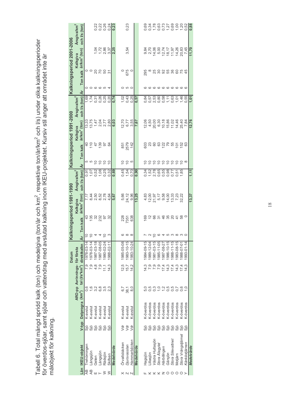Tabell 6. Total mängd spridd kalk (ton) och medelgiva (ton/år och km<sup>2</sup>, respektive ton/år/km<sup>2</sup> och l/s) under olika kalkningsperioder<br>för överdos-sjöar, samt sjöar och vattendrag med avslutad kalkning inom IKEU-projektet målobjekt för kalkning.

|                           | Arsgiva/km                    | och I/s (ton)                          |             |            |            |            |                                                  |            |                                                       |               | 0,23                   |                      |            |            |            |                                                                              |                                 |                  |              |                   |                  |                    |               |            |
|---------------------------|-------------------------------|----------------------------------------|-------------|------------|------------|------------|--------------------------------------------------|------------|-------------------------------------------------------|---------------|------------------------|----------------------|------------|------------|------------|------------------------------------------------------------------------------|---------------------------------|------------------|--------------|-------------------|------------------|--------------------|---------------|------------|
|                           | Kalkgiva                      | år/km <sup>2</sup> (ton)               |             |            |            |            |                                                  |            | $7280$<br>$7280$<br>$7280$<br>$720$<br>$720$<br>$720$ |               | 3,54                   |                      |            |            |            | o v 4 e 5 d a 4 d 5<br>8 d 6 d 4 j 2 a 6 a 6<br>9 d 6 d 4 j 2 a 6 a 6        |                                 |                  |              |                   |                  |                    |               | 11,70      |
| Kalkningsperiod 2001-2006 |                               | Ton kalk                               |             |            |            |            | ៓៓៰ៜៜៜ                                           |            |                                                       |               | $rac{0}{676}$          |                      |            |            |            | 8<br>8<br>8<br>8<br>8<br>8<br>8<br>8<br>8<br>8<br>8<br>8<br>8<br>8           |                                 |                  |              |                   |                  |                    |               |            |
|                           |                               | $\frac{\lambda}{2}$                    |             |            | 00000      |            |                                                  |            |                                                       |               | ပ္ပ္လာ (၁              |                      |            |            | $\circ$    |                                                                              | 0 0 0 0 0 0 0 0 0               |                  |              |                   |                  |                    |               |            |
|                           | Arsgiva/km <sup>2</sup>       | och I/s (ton)                          |             |            |            |            | 60 1 1 2 0 0 0<br>0 1 3 0 0 0 0<br>1 1 0 0 0 0 0 |            | 0,74                                                  |               | $1,02$<br>0.43<br>0.25 |                      | 0,57       | 0,84       |            |                                                                              |                                 |                  |              |                   |                  |                    |               | 1,01       |
|                           | Kalkgiva                      | år/km <sup>2</sup> (ton)               |             |            |            |            |                                                  |            | 6,03                                                  |               | 12,70<br>6,77<br>3,55  |                      | 7,67       |            |            | 2 4 5 6 6 6 6 7 4 8<br>6 8 9 9 6 6 6 7 4 6<br>6 9 9 9 8 9 6 7 6              |                                 |                  |              |                   |                  |                    | 7,84          | 12,76      |
| Kalkningsperiod 1991-2000 |                               | Ton kalk                               |             |            |            |            | 4 는 4 유 9 유 <sup>요</sup>                         |            |                                                       |               | 851<br>2579<br>142     |                      |            |            |            |                                                                              |                                 |                  |              |                   |                  |                    |               |            |
|                           |                               |                                        |             |            |            |            | <b>50000</b> 5                                   |            |                                                       |               | e o e                  |                      |            |            |            |                                                                              |                                 |                  |              |                   |                  |                    |               |            |
|                           | Arsgiva/km <sup>2</sup>       | och I/s (ton) Ar                       |             |            |            |            |                                                  |            | 0,69                                                  |               |                        | 0,70<br>1,54<br>0,70 | 0,90       |            |            | 0 - 400000 - 400<br>9 - 400000 - 400<br>9 - 400000 - 400                     |                                 |                  |              |                   |                  |                    |               | 1,11       |
| alkningsperiod 1981-1990  | Kalkgiva                      | år/km <sup>2</sup> (ton)               |             |            |            |            | てきるとる<br>というです<br>というとす                          |            | 5,67                                                  |               | 5,66<br>24,96<br>9,96  |                      | 13,25      |            |            | as Dire as Dire as Sister<br>វត្ត ភូមិ មិន ប៉ុន្តែ<br>នាំ ប្រកួត មិន ប៉ុន្តែ |                                 |                  |              |                   |                  |                    |               | 13,37      |
|                           |                               | Ar Ton kalk                            |             |            |            |            |                                                  |            |                                                       |               | 28<br>7351<br>638      |                      |            |            |            | <b>8285488480</b>                                                            |                                 |                  |              |                   |                  |                    |               |            |
|                           |                               |                                        |             |            | 55445      |            |                                                  | $\infty$   |                                                       |               | ဖ ထ ထ                  |                      |            |            |            | r <i>a</i> 5 @ 4 n w w w o                                                   |                                 |                  |              |                   |                  |                    |               |            |
| Datum                     |                               |                                        | 1978-03-14  | 1978-03-14 | 1987-03-18 | 1987-08-05 | 1980-02-24                                       | 1988-02-11 |                                                       | 1985-05-08    | 1983-10-15             | 1983-10-24           |            | 1984-09-15 | 1989-12-04 | $981 - 03 - 15$                                                              | 1985-11-05                      | 1987-08-27       | 986-10-15    | 1988-11-15        | 1983-08-15       | 988-07-01          | 1993-01-14    |            |
|                           | ARO-pp Avrinnings- för första | tal (I/s*km <sup>2</sup> ) direktkalkn | P.9         |            | 4,8        | 7,9        | 11,1                                             | 14.3       |                                                       | 12,5          | 15,7                   | 14.2                 |            | 14.3       |            |                                                                              |                                 | 17,4             | 14,3         | 17,4              | 14,3             | 17,4               | 14,3          |            |
|                           |                               |                                        | 0,6         |            | 3,2        | 6,8        | 3,5                                              | 2,3        |                                                       | 6,7           | 38,1                   | 8.0                  |            |            |            | 0,3                                                                          | $\overline{1}$ , $\overline{0}$ |                  | $7.5$<br>0.5 | 0,5               |                  | 0,6                |               |            |
|                           |                               | V-typ Delprograi (km <sup>2</sup> )    | K-avslut    | K-avslut   | K-avslut   | K-avslut   | K-avslut                                         | K-avslut   |                                                       | K-avslut      | K-avslut               | K-avslut             |            | K-överdos  | K-överdos  | K-överdos                                                                    | K-överdos                       | K-överdos        | K-överdos    | K-överdos         | K-överdos        | K-överdos          | K-överdos     |            |
|                           |                               |                                        | Sjö         | Sjö        | Sjö        |            | ၁<br>၁<br>၁<br>၁                                 | Sjö        |                                                       | ydr           | Vdr                    | ýά                   |            |            | Sjö        | Sjö                                                                          |                                 | ၁<br>၁<br>၁<br>၁ | Sjö          |                   | ၁<br>၁<br>၁<br>၁ | Sjö                | Siö           |            |
|                           |                               | Län IKEU-objekt                        | Trehömingen | Långsjön   | Geten      | Långsjön   | Rädsjön                                          | Skifsen    | Medelvärde                                            | Örvallsbäcken | Djursvasslan           | Hammarbäcken         | Medelvärde | Hagsjön    | llasjön    | Västra Hultasjön                                                             | Stora Alagylet                  | Härbillingen     | Gärsjön      | Stora Silevattnet | Motjärn          | Stora Vrångstjämet | Kânkâstjärnen | Medelvärde |
|                           |                               |                                        | ₹           | ЯŘ         | Ш          |            | $\geq$                                           | ≥          |                                                       | ×             |                        | N <sub>N</sub>       |            |            |            |                                                                              | $X$ $X$ $Z$ $O$ $O$             |                  |              |                   | $\circ$          | $\circ$            |               |            |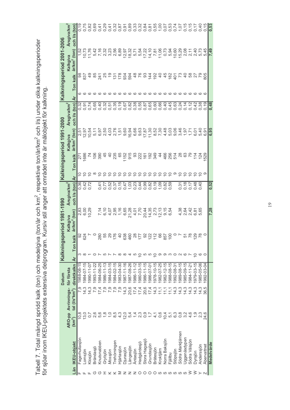Tabell 7. Total mängd spridd kalk (ton) och medelgiva (ton/år och km<sup>2</sup>, respektive ton/år/km<sup>2</sup> och l/s) under olika kalkningsperioder<br>för sjöar inom IKEU-projektets extensiva delprogram. Kursiv stil anger att området int

|     |                      |                    |                               |                        |                         |   |                                                         |                                                 |                       |                           |                                  | Kalkningsperiod 1991-2000 |                   |     |                       | Kalkningsperiod 2001-2006  |                         |                         |
|-----|----------------------|--------------------|-------------------------------|------------------------|-------------------------|---|---------------------------------------------------------|-------------------------------------------------|-----------------------|---------------------------|----------------------------------|---------------------------|-------------------|-----|-----------------------|----------------------------|-------------------------|-------------------------|
|     |                      |                    |                               | Datum                  |                         |   |                                                         | Kalkningsperiod 1981-1990                       |                       |                           |                                  |                           |                   |     |                       |                            |                         |                         |
|     |                      |                    | ARO-pp Avrinnings- för första |                        |                         |   |                                                         | Kalkgiva                                        | <b>Arsgiva/km</b>     |                           |                                  | Kalkgiva                  | <b>Arsgiva/km</b> |     |                       | Kalkgiva                   | Arsgiva/km <sup>2</sup> |                         |
| Län | <b>IKEU-objekt</b>   | (km <sup>2</sup> ) | tal (I/s*km <sup>2</sup> )    | direktkalkn            | $\overline{\mathbf{A}}$ |   | Ton kalk                                                | år/km <sup>2</sup> (ton)                        | och I/s (ton)         | $\overline{\mathbf{A}}$ r | Ton kalk                         | år/km <sup>2</sup> (ton)  | och I/s (ton)     | ·Ar | Ton kalk              | år/km <sup>2</sup> (ton)   | och I/s (ton)           |                         |
|     | Fagerhultasjön       | 10,8               | 7,9                           | 1988-08-15             |                         | ო |                                                         |                                                 | 0,36                  |                           |                                  |                           |                   | ی ہ |                       |                            |                         | 0,19<br>0               |
|     | omsjön               | 13,0               | 14,3                          | 1984-07-15             |                         |   | 92<br>624                                               | 8<br>8<br>0<br>0<br>0<br>0<br>0<br>0<br>0       | $0,42$<br>$0,72$      | 5 5 5                     |                                  | 2.57<br>12.97             | 0.32<br>0.91      |     | 98<br>337             |                            |                         |                         |
|     | Klosjön              |                    | 14,3                          | 1990-11-07             |                         |   |                                                         |                                                 |                       |                           |                                  | 10,54                     | 0,74              |     |                       |                            |                         | 0,82                    |
|     | Brändasjö            | 2,6                | 7,9                           | 1993-11-22             |                         |   |                                                         |                                                 |                       |                           |                                  | 5,11                      | 0,65              |     | $rac{4}{8}$           |                            |                         | 0,69                    |
|     | Knutsnabben          | 5,6                | 17,4                          | 1984-06-25             |                         |   | 280                                                     |                                                 | 0,41                  |                           |                                  |                           | 0,40              |     |                       |                            |                         |                         |
|     | Grytsjön             |                    | 7,9<br>h                      | $986 - 11 - 13$        |                         |   |                                                         | てんしつ<br>インクマン<br>インフラ                           |                       | $\circ$ $\circ$ $\circ$   | <u> 28 4 5 8 4</u><br>28 4 5 8 4 | 6,97<br>2,50              | 0,32              |     | $241$<br>$25$<br>$79$ | いいかいかい こういうしょう こうしょう こうきょう |                         | 0.0.0<br>0.0.0<br>0.0.0 |
|     | Mossjön              |                    |                               | 1984-03-15<br><b>o</b> |                         |   | 55<br>29                                                |                                                 |                       |                           |                                  |                           | 0,51              |     |                       | 3,23                       |                         |                         |
|     | rehörningen          | က<br>ထ             | 7,9<br>h                      | 1984-02-15             |                         |   | 176                                                     |                                                 | 0,52<br>0,37<br>0,15  | 2222                      | $rac{45}{25}$                    | 4,03<br>2,76              | 0,35              |     | $137$<br>$78$         |                            | 2,56                    | 0,32                    |
|     | ljärtasjön           | ್ತ<br>4            |                               | 1983-04-30<br>.<br>به  |                         |   | $\frac{4}{3}$                                           |                                                 |                       |                           | 65                               | 1,51                      | 0,19              |     |                       |                            | 6,89                    | 0,87                    |
|     | Djurasjön            | 12,0               | 14.3                          | $987 - 11 - 16$        |                         |   | 638                                                     |                                                 |                       |                           | 152                              | 9,60                      | 0,67              |     |                       | 12,97                      |                         | 0,91                    |
|     | angesjön             | $\overline{5}$     | 20,6                          | 1987-08-26             |                         |   | 460                                                     | $1,16$<br>6,65<br>21,28                         |                       | ₽                         | 915                              | 16,94                     | 0,82              |     | 9 29<br>29            | 18,32                      |                         | 0,89                    |
|     | Äntasjön             |                    | 17,4                          | 1986-11-12             |                         |   |                                                         |                                                 |                       | $\subseteq$               |                                  |                           | 0,38              |     |                       |                            |                         | 0,33                    |
|     | Hedgardesjö          | 2,3                | 17,4                          | 1980-03-15             |                         |   | 28<br>177                                               |                                                 | $0,47$ $0,08$ $0,044$ | $\subseteq$               |                                  | 6,68<br>0,63<br>17,87     | 0,55              |     | 888                   | 5,54<br>5,54               |                         | 0,32                    |
|     | Stora Hagasjö        |                    | 20,6                          | 1986-11-15             |                         |   |                                                         | $47048$<br>$79480$<br>$79480$<br>$793$<br>$793$ | 0,99                  | $\subseteq$               | $8\%$ $6\%$ $4\%$ $6\%$ $7\%$    |                           | 0,87              |     |                       |                            |                         | 0,84                    |
|     | Grundasjön           | $\frac{1}{2}$      | 17,4                          | 986-07-01              |                         |   | 92<br>12<br>12<br>12                                    |                                                 | $0,82$<br>$0,19$      |                           |                                  | 11,30                     | 0,65              |     |                       | 17,22<br>14,10             |                         | 0,81<br>0,55            |
| O   | Bråtesjön            | $\frac{1}{4}$      | 14.3                          | $978 - 10 - 15$        |                         |   |                                                         |                                                 |                       | 9999                      |                                  | 8,52                      | 0,60              |     | 14.95                 | 7,81                       |                         |                         |
| ၯ   | Kroktjärn            | 0,6                | 11,1                          | 982-07-25              |                         |   | 66                                                      | 12, 13                                          |                       |                           |                                  | 7,30                      | 0,66              |     | $\frac{4}{4}$         |                            |                         |                         |
| Ø   | <b>Vorra Baksjön</b> | 10,4               | $\leq$                        | $982 - 12 - 15$        |                         |   | 857                                                     | 9,15                                            | $1,09$<br>0,82        |                           |                                  | 4,48                      | 0,40              |     |                       | 11,06                      |                         | $7.0000$<br>$7.0000$    |
| ၯ   | Fjällbu              | 57                 | $\leq$                        | 988-08-15              |                         |   | 100                                                     | 6,54                                            | 0,59                  | $\tilde{=}$               |                                  |                           | 0,45              |     | $\frac{182}{401}$     | 5,94                       |                         |                         |
|     | Stöpsjön             | <u>င</u> ့်        | 14,3                          | 992-08-31              |                         |   |                                                         |                                                 |                       | တ                         |                                  | 5,03<br>9,06              | 0,63              |     |                       | 10,60                      |                         |                         |
| ၯ   | Södra Marktjärnen    | 0,8                | 14,3                          | 1989-08-15             |                         |   |                                                         | 4,38                                            | 0,31                  | ≘                         |                                  | 3,46                      | 0,24              |     | $\mathbb{Z}^2$        | 15,29                      |                         | 1,07                    |
| ഗ   | Jggenäsdypen         | s,                 | 14,3                          | 985-09-15              |                         |   | $51$<br>$78$                                            | 2,64                                            | 0,18                  |                           | <b>28</b><br>63                  | 1,97                      | 0,14              |     |                       | 2,08                       |                         | 0,15<br>0,15            |
|     | Södra Vålsjön        | 4,6                | 14,3                          | $984 - 11 - 21$        |                         |   |                                                         | 2,42                                            | 0,17                  |                           | 56                               | 1,71                      | 0,12              |     |                       | 2,11                       |                         |                         |
|     | Jyrsjön              |                    | 14,3                          | $979 - 03 - 15$        |                         |   |                                                         | 6,81<br>5,65                                    | 0,48                  | P P P P                   |                                  |                           | 0,42              |     | 4822                  |                            |                         | 0,17                    |
|     | Anderssjön           | 2,3                | 14,3                          | 1985-05-06             |                         | ဖ | $\frac{1}{6}$ $\frac{1}{6}$ $\frac{1}{6}$ $\frac{1}{6}$ |                                                 | 0,40                  |                           | 1 4 4<br>1 4 9<br>1 4 9          | 5,40                      | 0,38              |     |                       |                            | 2,40<br>5,73            | 0,40                    |
| N   | Abervattnet          | 24,6               | 36,5                          | 992-03-04              |                         |   |                                                         |                                                 |                       |                           |                                  | 6.91                      | 0,19              |     | 805                   |                            | 5,45                    |                         |
|     | Medelvärde           |                    |                               |                        |                         |   |                                                         | 7,28                                            | 0,52                  |                           |                                  | 6,95                      | 0,48              |     |                       |                            | 7,49                    | $\frac{1}{0.53}$        |

19